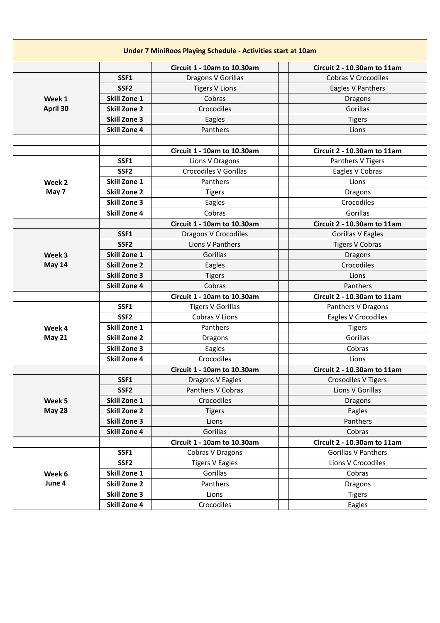|               |                     | <b>Circuit 1 - 10am to 10.30am</b> | Circuit 2 - 10.30am to 11am |
|---------------|---------------------|------------------------------------|-----------------------------|
|               | SSF1                | Dragons V Gorillas                 | <b>Cobras V Crocodiles</b>  |
|               | SSF <sub>2</sub>    | <b>Tigers V Lions</b>              | Eagles V Panthers           |
| Week 1        | Skill Zone 1        | Cobras                             | <b>Dragons</b>              |
| April 30      | <b>Skill Zone 2</b> | Crocodiles                         | Gorillas                    |
|               | <b>Skill Zone 3</b> | Eagles                             | <b>Tigers</b>               |
|               | <b>Skill Zone 4</b> | Panthers                           | Lions                       |
|               |                     |                                    |                             |
|               |                     | <b>Circuit 1 - 10am to 10.30am</b> | Circuit 2 - 10.30am to 11am |
|               | SSF1                | Lions V Dragons                    | Panthers V Tigers           |
|               | SSF <sub>2</sub>    | Crocodiles V Gorillas              | Eagles V Cobras             |
| Week 2        | <b>Skill Zone 1</b> | Panthers                           | Lions                       |
| May 7         | <b>Skill Zone 2</b> | <b>Tigers</b>                      | <b>Dragons</b>              |
|               | <b>Skill Zone 3</b> | Eagles                             | Crocodiles                  |
|               | <b>Skill Zone 4</b> | Cobras                             | Gorillas                    |
|               |                     | <b>Circuit 1 - 10am to 10.30am</b> | Circuit 2 - 10.30am to 11am |
|               | SSF1                | Dragons V Crocodiles               | Gorillas V Eagles           |
|               | SSF <sub>2</sub>    | Lions V Panthers                   | <b>Tigers V Cobras</b>      |
| Week 3        | <b>Skill Zone 1</b> | Gorillas                           | Dragons                     |
| May 14        | <b>Skill Zone 2</b> | Eagles                             | Crocodiles                  |
|               | <b>Skill Zone 3</b> | <b>Tigers</b>                      | Lions                       |
|               | <b>Skill Zone 4</b> | Cobras                             | Panthers                    |
|               |                     | <b>Circuit 1 - 10am to 10.30am</b> | Circuit 2 - 10.30am to 11am |
|               | SSF1                | <b>Tigers V Gorillas</b>           | Panthers V Dragons          |
|               | SSF <sub>2</sub>    | Cobras V Lions                     | Eagles V Crocodiles         |
| Week 4        | <b>Skill Zone 1</b> | Panthers                           | <b>Tigers</b>               |
| <b>May 21</b> | <b>Skill Zone 2</b> | Dragons                            | Gorillas                    |
|               | <b>Skill Zone 3</b> | Eagles                             | Cobras                      |
|               | <b>Skill Zone 4</b> | Crocodiles                         | Lions                       |
|               |                     | <b>Circuit 1 - 10am to 10.30am</b> | Circuit 2 - 10.30am to 11am |
|               | SSF1                | Dragons V Eagles                   | <b>Crosodiles V Tigers</b>  |
|               | SSF <sub>2</sub>    | Panthers V Cobras                  | Lions V Gorillas            |
| Week 5        | Skill Zone 1        | Crocodiles                         | Dragons                     |
| <b>May 28</b> | <b>Skill Zone 2</b> | <b>Tigers</b>                      | Eagles                      |
|               | <b>Skill Zone 3</b> | Lions                              | Panthers                    |
|               | <b>Skill Zone 4</b> | Gorillas                           | Cobras                      |
|               |                     | Circuit 1 - 10am to 10.30am        | Circuit 2 - 10.30am to 11am |
|               | SSF1                | Cobras V Dragons                   | Gorillas V Panthers         |
|               | SSF <sub>2</sub>    | <b>Tigers V Eagles</b>             | Lions V Crocodiles          |
| Week 6        | Skill Zone 1        | Gorillas                           | Cobras                      |
| June 4        | <b>Skill Zone 2</b> | Panthers                           | <b>Dragons</b>              |
|               | <b>Skill Zone 3</b> | Lions                              | <b>Tigers</b>               |
|               | <b>Skill Zone 4</b> | Crocodiles                         | Eagles                      |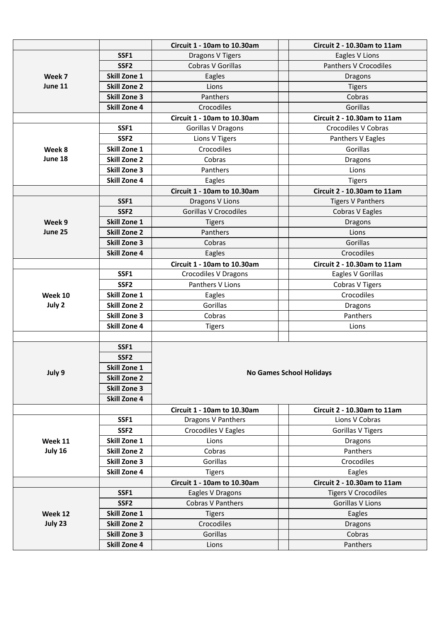|         |                     | <b>Circuit 1 - 10am to 10.30am</b>                       | Circuit 2 - 10.30am to 11am                   |  |  |
|---------|---------------------|----------------------------------------------------------|-----------------------------------------------|--|--|
|         | SSF1                | Dragons V Tigers                                         | Eagles V Lions                                |  |  |
|         | SSF <sub>2</sub>    | Cobras V Gorillas                                        | Panthers V Crocodiles                         |  |  |
| Week 7  | Skill Zone 1        | Eagles                                                   | Dragons                                       |  |  |
| June 11 | <b>Skill Zone 2</b> | Lions                                                    | <b>Tigers</b>                                 |  |  |
|         | <b>Skill Zone 3</b> | Panthers                                                 | Cobras                                        |  |  |
|         | <b>Skill Zone 4</b> | Crocodiles                                               | Gorillas                                      |  |  |
|         |                     | <b>Circuit 1 - 10am to 10.30am</b>                       | Circuit 2 - 10.30am to 11am                   |  |  |
|         | SSF1                | <b>Gorillas V Dragons</b>                                | <b>Crocodiles V Cobras</b>                    |  |  |
|         | SSF <sub>2</sub>    | Lions V Tigers                                           | Panthers V Eagles                             |  |  |
| Week 8  | <b>Skill Zone 1</b> | Crocodiles                                               | Gorillas                                      |  |  |
| June 18 | <b>Skill Zone 2</b> | Cobras                                                   | Dragons                                       |  |  |
|         | <b>Skill Zone 3</b> | Panthers                                                 | Lions                                         |  |  |
|         | <b>Skill Zone 4</b> | Eagles                                                   | <b>Tigers</b>                                 |  |  |
|         |                     | <b>Circuit 1 - 10am to 10.30am</b>                       | <b>Circuit 2 - 10.30am to 11am</b>            |  |  |
|         | SSF1                | Dragons V Lions                                          | <b>Tigers V Panthers</b>                      |  |  |
|         | SSF <sub>2</sub>    | <b>Gorillas V Crocodiles</b>                             | Cobras V Eagles                               |  |  |
| Week 9  | <b>Skill Zone 1</b> | <b>Tigers</b>                                            | Dragons                                       |  |  |
| June 25 | <b>Skill Zone 2</b> | Panthers                                                 | Lions                                         |  |  |
|         | <b>Skill Zone 3</b> | Cobras                                                   | Gorillas                                      |  |  |
|         | <b>Skill Zone 4</b> | Eagles                                                   | Crocodiles                                    |  |  |
|         |                     | Circuit 1 - 10am to 10.30am                              | Circuit 2 - 10.30am to 11am                   |  |  |
|         | SSF1                | Crocodiles V Dragons                                     | Eagles V Gorillas                             |  |  |
|         | SSF <sub>2</sub>    | Panthers V Lions                                         | Cobras V Tigers                               |  |  |
| Week 10 | Skill Zone 1        | Eagles                                                   | Crocodiles                                    |  |  |
| July 2  | <b>Skill Zone 2</b> | Gorillas                                                 | Dragons                                       |  |  |
|         | <b>Skill Zone 3</b> | Cobras                                                   | Panthers                                      |  |  |
|         | <b>Skill Zone 4</b> | <b>Tigers</b>                                            | Lions                                         |  |  |
|         |                     |                                                          |                                               |  |  |
|         | SSF1                |                                                          |                                               |  |  |
|         | SSF <sub>2</sub>    |                                                          |                                               |  |  |
| July 9  | <b>Skill Zone 1</b> |                                                          | <b>No Games School Holidays</b>               |  |  |
|         | <b>Skill Zone 2</b> |                                                          |                                               |  |  |
|         | <b>Skill Zone 3</b> |                                                          |                                               |  |  |
|         | <b>Skill Zone 4</b> |                                                          |                                               |  |  |
|         | SSF1                | <b>Circuit 1 - 10am to 10.30am</b><br>Dragons V Panthers | Circuit 2 - 10.30am to 11am<br>Lions V Cobras |  |  |
|         | SSF <sub>2</sub>    | Crocodiles V Eagles                                      | Gorillas V Tigers                             |  |  |
| Week 11 | Skill Zone 1        | Lions                                                    | Dragons                                       |  |  |
| July 16 | <b>Skill Zone 2</b> | Cobras                                                   | Panthers                                      |  |  |
|         | <b>Skill Zone 3</b> | Gorillas                                                 | Crocodiles                                    |  |  |
|         | <b>Skill Zone 4</b> | <b>Tigers</b>                                            | Eagles                                        |  |  |
|         |                     | <b>Circuit 1 - 10am to 10.30am</b>                       | Circuit 2 - 10.30am to 11am                   |  |  |
|         | SSF1                | Eagles V Dragons                                         | <b>Tigers V Crocodiles</b>                    |  |  |
|         | SSF <sub>2</sub>    | <b>Cobras V Panthers</b>                                 | Gorillas V Lions                              |  |  |
| Week 12 | Skill Zone 1        | <b>Tigers</b>                                            | Eagles                                        |  |  |
| July 23 | <b>Skill Zone 2</b> | Crocodiles                                               | Dragons                                       |  |  |
|         | <b>Skill Zone 3</b> | Gorillas                                                 | Cobras                                        |  |  |
|         | <b>Skill Zone 4</b> | Lions                                                    | Panthers                                      |  |  |